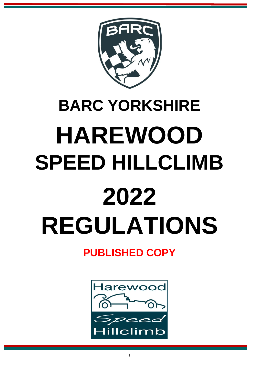

# **BARC YORKSHIRE HAREWOOD SPEED HILLCLIMB 2022 REGULATIONS**

# **PUBLISHED COPY**

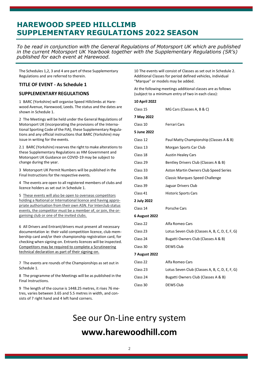# **HAREWOOD SPEED HILLCLIMB SUPPLEMENTARY REGULATIONS 2022 SEASON**

*To be read in conjunction with the General Regulations of Motorsport UK which are published in the current Motorsport UK Yearbook together with the Supplementary Regulations (SR's) published for each event at Harewood.*

The Schedules 1,2, 3 and 4 are part of these Supplementary Regulations and are referred to therein.

#### **TITLE OF EVENT - As Schedule 1**

#### **SUPPLEMENTARY REGULATIONS**

1 BARC (Yorkshire) will organise Speed Hillclimbs at Harewood Avenue, Harewood, Leeds. The status and the dates are shown in Schedule 1.

2 The Meetings will be held under the General Regulations of Motorsport UK (incorporating the provisions of the International Sporting Code of the FIA), these Supplementary Regulations and any official instructions that BARC (Yorkshire) may issue in writing for the events.

2.1 BARC (Yorkshire) reserves the right to make alterationsto these Supplementary Regulations as HM Government and Motorsport UK Guidance on COVID-19 may be subject to change during the year.

3 Motorsport UK Permit Numbers will be published in the Final Instructions for the respective events.

4 The events are open to all registered members of clubs and licence holders as set out in Schedule 1.

5 These events will also be open to overseas competitors holding a National or International licence and having appropriate authorisation from their own ASN. For Interclub status events, the competitor must be a member of, or join, the organising club or one of the invited clubs*.*

6 All Drivers and Entrant/drivers must present all necessary documentation ie: their valid competition licence, club membership card and/or their championship registration card, for checking when signing-on. Entrants licences will be inspected. Competitors may be required to complete a Scrutineering technical declaration as part of their signing-on.

7 The events are rounds of the Championships as set out in Schedule 1.

8 The programme of the Meetings will be as published in the Final Instructions.

9 The length of the course is 1448.25 metres, it rises 76 metres, varies between 3.65 and 5.5 metres in width, and consists of 7 right hand and 4 left hand corners.

10 The events will consist of Classes as set out in Schedule 2. Additional Classes for period defined vehicles, individual "Marque" or models may be added.

At the following meetings additional classes are as follows (subject to a minimum entry of two in each class):

| 10 April 2022        |                                                |
|----------------------|------------------------------------------------|
| Class 15             | MG Cars (Classes A, B & C)                     |
| 7 May 2022           |                                                |
| Class 10             | Ferrari Cars                                   |
| 5 June 2022          |                                                |
| Class 12             | Paul Matty Championship (Classes A & B)        |
| Class 13             | Morgan Sports Car Club                         |
| Class 18             | <b>Austin Healey Cars</b>                      |
| Class 29             | Bentley Drivers Club (Classes A & B)           |
| Class 33             | Aston Martin Owners Club Speed Series          |
| Class 38             | <b>Classic Marques Speed Challenge</b>         |
| Class 39             | Jaguar Drivers Club                            |
| Class 41             | <b>Historic Sports Cars</b>                    |
| 2 July 2022          |                                                |
| Class 14             | Porsche Cars                                   |
| <b>6 August 2022</b> |                                                |
| Class 22             | Alfa Romeo Cars                                |
| Class 23             | Lotus Seven Club (Classes A, B, C, D, E, F, G) |
| Class 24             | Bugatti Owners Club (Classes A & B)            |
| Class 30             | <b>DEWS Club</b>                               |
| <b>7 August 2022</b> |                                                |
| Class 22             | Alfa Romeo Cars                                |
| Class 23             | Lotus Seven Club (Classes A, B, C, D, E, F, G) |
| Class 24             | Bugatti Owners Club (Classes A & B)            |
| Class 30             | <b>DEWS Club</b>                               |

See our On-Line entry system **[www.harewoodhill.com](http://www.harewoodhill.com/)**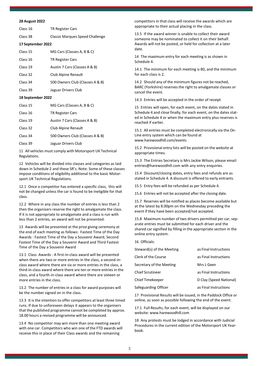#### **28 August 2022**

| Class 16 | TR Register Cars |  |
|----------|------------------|--|
|          |                  |  |

Class 38 Classic Marques Speed Challenge

#### **17 September 2022**

| Class 15 | MG Cars (Classes A, B & C)      |
|----------|---------------------------------|
| Class 16 | <b>TR Register Cars</b>         |
| Class 19 | Austin 7 Cars (Classes A & B)   |
| Class 32 | Club Alpine Renault             |
| Class 34 | 500 Owners Club (Classes A & B) |

Class 39 Jaguar Drivers Club

#### **18 September 2022**

| Class 15 | MG Cars (Classes A, B & C)      |
|----------|---------------------------------|
| Class 16 | <b>TR Register Cars</b>         |
| Class 19 | Austin 7 Cars (Classes A & B)   |
| Class 32 | Club Alpine Renault             |
| Class 34 | 500 Owners Club (Classes A & B) |
| Class 39 | Jaguar Drivers Club             |
|          |                                 |

11 All vehicles must comply with Motorsport UK Technical Regulations.

12 Vehicles will be divided into classes and categories as laid down in Schedule 2 and these SR's. Note: Some of these classes impose conditions of eligibility additional to the basic Motorsport UK Technical Regulations.

12.1 Once a competitor has entered a specific class, this will not be changed unless the car is found to be ineligible for that class.

12.2 Where in any class the number of entries is less than 2 then the organisers reserve the right to amalgamate the class. If it is not appropriate to amalgamate and a class is run with less than 2 entries, an award will not be presented.

13 Awards will be presented at the prize giving ceremony at the end of each meeting as follows: Fastest Time of the Day Awards : Fastest Time of the Day a Souvenir Award, Second Fastest Time of the Day a Souvenir Award and Third Fastest Time of the Day a Souvenir Award

13.1 Class Awards : A first-in-class award will be presented when there are two or more entries in the class, a second-inclass award where there are six or more entries in the class, a third-in-class award where there are ten or more entries in the class, and a fourth-in-class award where there are sixteen or more entries in the class.

13.2 The number of entries in a class for award purposes will be the number signed on in the class.

13.3 It is the intention to offer competitors at least three timed runs. If due to unforeseen delays it appears to the organisers that the published programme cannot be completed by approx. 18.00 hours a revised programme will be announced.

13.4 No competitor may win more than one meeting award with one car. Competitors who win one of the FTD awards will receive this in place of their Class awards and the remaining

competitors in that class will receive the awards which are appropriate to their actual placing in the class.

13.5 If the award winner is unable to collect their award someone may be nominated to collect it on their behalf. Awards will not be posted, or held for collection at a later date.

14 The maximum entry for each meeting is as shown in Schedule 4.

14.1 The minimum for each meeting is 80, and the minimum for each class is 2.

14.2 Should any of the minimum figures not be reached, BARC (Yorkshire) reservesthe right to amalgamate classes or cancel the event.

14.3 Entries will be accepted in the order of receipt

15 Entries will open, for each event, on the dates stated in Schedule 4 and close finally, for each event, on the dates stated in Schedule 4 or when the maximum entry plus reserves is reached if earlier.

15.1 All entries must be completed electronically via the On-Line entry system which can be found at [www.harewoodhill.com/events](http://www.harewoodhill.com/events)

15.2 Provisional entry lists will be posted on the website at appropriate times.

15.3 The Entries Secretary is Mrs Jackie Wilson, please email: [entries@harewoodhill.com w](mailto:entries@harewoodhill.com)ith any entry enquiries.

15.4 Discount/closing dates, entry fees and refunds are as stated in Schedule 4. A discount is offered to early entrants.

15.5 Entry fees will be refunded as per Schedule 4.

15.6 Entries will not be accepted after the closing date.

15.7 Reserves will be notified as places become available but at the latest by 8.00pm on the Wednesday preceding the event if they have been accepted/not accepted.

15.8 Maximum number of two drivers permitted per car, separate entries must be submitted for each driver and the shared car signified by filling in the appropriate section in the online entry system.

16 Officials:

| Steward(s) of the Meeting | as Final Instructions   |
|---------------------------|-------------------------|
| Clerk of the Course       | as Final Instructions   |
| Secretary of the Meeting  | Mrs L Geen              |
| <b>Chief Scrutineer</b>   | as Final Instructions   |
| <b>Chief Timekeeper</b>   | D Clay (Speed National) |
| Safeguarding Officer      | as Final Instructions   |

17 Provisional Results will be issued, in the Paddock Office or online, as soon as possible following the end of the event.

17.1 Full Results, for each event, will be displayed on our website: [www.harewoodhill.com](http://www.harewoodhill.com/)

18 Any protests must be lodged in accordance with Judicial Procedures in the current edition of the Motorsport UK Yearbook.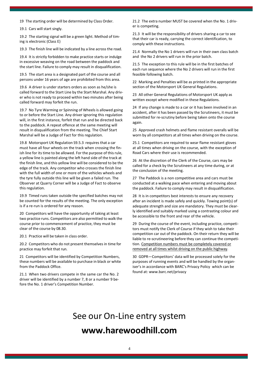19 The starting order will be determined by Class Order.

19.1 Cars will start singly.

19.2 The starting signal will be a green light. Method of timing is electronic (Class E)

19.3 The finish line will be indicated by a line across the road.

19.4 It is strictly forbidden to make practice starts or indulge in excessive weaving on the road between the paddock and the start line. Failure to comply may result in disqualification.

19.5 The start area is a designated part of the course and all persons under 16 years of age are prohibited from this area.

19.6 A driver is under starters orders as soon as he/she is called forward to the Start Line by the Start Marshal. Any driver who is not ready to proceed within two minutes after being called forward may forfeit the run.

19.7 No Tyre Warming or Spinning of Wheels is allowed going to or before the Start Line. Any driver ignoring this regulation will, in the first instance, forfeit that run and be directed back to the paddock. A repeat offence at the same meeting will result in disqualification from the meeting. The Chief Start Marshal will be a Judge of Fact for this regulation.

19.8 Motorsport UK Regulation S9.5.3 requires that a car must have all four wheels on the track when crossing the finish line for its time to be allowed. For the purpose of this rule, a yellow line is painted along the left hand side of the track at the finish line, and this yellow line will be considered to be the edge of the track. Any competitor who crosses the finish line with the full width of one or more of the vehicles wheels and the tyre fully outside this line will be given a failed run. The Observer at Quarry Corner will be a Judge of Fact to observe this regulation.

19.9 Timed runs taken outside the specified batches may not be counted for the results of the meeting. The only exception is if a re-run is ordered for any reason.

20 Competitors will have the opportunity of taking at least two practice runs. Competitors are also permitted to walk the course prior to commencement of practice, they must be clear of the course by 08.30.

20.1 Practice will be taken in class order.

20.2 Competitors who do not present themselves in time for practice may forfeit that run.

21 Competitors will be identified by Competition Numbers, these numbers will be available to purchase in black or white from the Paddock Office.

21.1 When two drivers compete in the same car the No. 2 driver will be identified by a number 7, 8 or a number 9 before the No. 1 driver's Competition Number.

21.2 The extra number MUST be covered when the No. 1 driver is competing.

21.3 It will be the responsibility of drivers sharing a car to see that their car is ready, carrying the correct identification, to comply with these instructions.

21.4 Normally the No 1 drivers will run in their own class batch and the No 2 drivers will run in the prior batch.

21.5 The exception to this rule will be in the first batches of each run sequence where the No 2 drivers will run in the first feasible following batch.

22 Marking and Penalties will be as printed in the appropriate section of the Motorsport UK General Regulations.

23 All other General Regulations of Motorsport UK apply as written except where modified in these Regulations.

24 If any change is made to a car or it has been involved in an accident, after it has been passed by the Scrutineers, it must be submitted for re-scrutiny before being taken onto the course again.

25 Approved crash helmets and flame resistant overalls will be worn by all competitors at all times when driving on the course.

25.1 Competitors are required to wear flame resistant gloves at all times when driving on the course, with the exception of Road Cars where their use is recommended.

26 At the discretion of the Clerk of the Course, cars may be called for a check by the Scrutineers at any time during, or at the conclusion of the meeting.

27 The Paddock is a non competitive area and cars must be conducted at a walking pace when entering and moving about the paddock. Failure to comply may result in disqualification.

28 It is in competitors best interests to ensure any recovery after an incident is made safely and quickly. Towing point(s) of adequate strength and size are mandatory. They must be clearly identified and suitably marked using a contrasting colour and be accessible to the front and rear of the vehicle.

29 During the course of the event, including practice, competitors must notify the Clerk of Course if they wish to take their competition car out of the paddock. On their return they will be liable to re-scrutineering before they can continue the competition. Competition numbers must be completely covered or removed at all times whilst driving on the public highway.

30 GDPR—Competitors' data will be processed solely for the purposes of running events and will be handled by the organiser's in accordance with BARC's Privacy Policy which can be found at[: www.barc.net/privacy](http://www.barc.net/privacy)

# See our On-Line entry system **[www.harewoodhill.com](http://www.harewoodhill.com/)**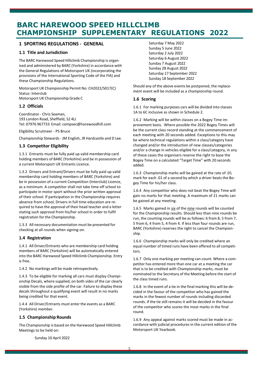# **BARC HAREWOOD SPEED HILLCLIMB CHAMPIONSHIP SUPPLEMENTARY REGULATIONS 2022**

#### **1 SPORTING REGULATIONS - GENERAL**

#### **1.1 Title and Jurisdiction**

The BARC Harewood Speed Hillclimb Championship is organised and administered by BARC (Yorkshire) in accordance with the General Regulations of Motorsport UK (incorporating the provisions of the International Sporting Code of the FIA) and these Championship Regulations.

Motorsport UK Championship Permit No: CH2022/S017(C) Status: Interclub Motorsport UK Championship Grade C

#### **1.2 Officials**

Coordinator - Chris Seaman, 193 London Road, Sheffield, S2 4LJ Tel: 07976 967733 Email: [compsec@harewoodhill.com](mailto:compsec@harewoodhill.com)

Eligibility Scrutineer - PS Bruce

Championship Stewards - JM English, JR Hardcastle and D Lee.

#### **1.3 Competitor Eligibility**

1.3.1 Entrants must be fully paid up valid membership card holding members of BARC (Yorkshire) and be in possession of a current Motorsport UK Entrants Licence.

1.3.2 Drivers and Entrant/Drivers must be fully paid up valid membership card holding members of BARC (Yorkshire) and be in possession of a current Competition (Interclub) Licence, as a minimum. A competitor shall not take time off school to participate in motor sport without the prior written approval of their school. If participation in the Championship requires absence from school, Drivers in full time education are required to have the approval of their head teacher and a letter stating such approval from his/her school in order to fulfil registration for the Championship.

1.3.3 All necessary documentation must be presented for checking at all rounds when signing-on.

#### **1.4 Registration**

1.4.1 All Driver/Entrants who are membership card holding members of BARC (Yorkshire) will be automatically entered into the BARC Harewood Speed Hillclimb Championship. Entry is free.

1.4.2 No markings will be made retrospectively.

1.4.3 To be eligible for marking all cars must display Championship Decals, where supplied, on both sides of the car clearly visible from the side profile of the car. Failure to display these decals throughout a qualifying event will result in no marks being credited for that event.

1.4.4 All Driver/Entrants must enter the events as a BARC (Yorkshire) member.

#### **1.5 Championship Rounds**

The Championship is based on the Harewood Speed Hillclimb Meetings to be held on:

Saturday 7 May 2022 Sunday 5 June 2022 Saturday 2 July 2022 Saturday 6 August 2022 Sunday 7 August 2022 Sunday 28 August 2022 Saturday 17 September 2022 Sunday 18 September 2022

Should any of the above events be postponed, the replacement event will be included as a championship round.

#### **1.6 Scoring**

1.6.1 For marking purposes cars will be divided into classes 1A to 6C inclusive as shown in Schedule 2.

1.6.2 Marking will be within classes on a Bogey Time improvement basis. Where possible the 2022 Bogey Times will be the current class record standing at the commencement of each meeting with 20 seconds added. Exceptions to this may be where technical regulations within a class/category have changed and/or the introduction of new classes/categories and/or a change in vehicles eligible for a class/category, in any of these cases the organisers reserve the right to base the Bogey Time on a calculated "Target Time" with 20 seconds added.

1.6.3 Championship marks will be gained at the rate of .01 mark for each .01 of a second by which a driver beats the Bogey Time for his/her class.

1.6.4 Any competitor who does not beat the Bogey Time will gain no marks for that meeting. A maximum of 21 marks can be gained at any meeting.

1.6.5 Marks gained in six of the nine rounds will be counted for the Championship results. Should less than nine rounds be run, the counting rounds will be as follows: 6 from 8, 5 from 7, 5 from 6, 4 from 5, 4 from 4. If less than four rounds are run, BARC (Yorkshire) reserves the right to cancel the Championship.

1.6.6 Championship marks will only be credited where an equal number of timed runs have been offered to all competitors.

1.6.7 Only one marking per meeting can count. Where a competitor has entered more than one car at a meeting the car that is to be credited with Championship marks, must be nominated to the Secretary of the Meeting before the start of the class timed runs.

1.6.8 In the event of a tie in the final marking this will be decided in the favour of the competitor who has gained the marks in the fewest number of rounds including discarded rounds. If the tie still remains it will be decided in the favour of the competitor who scores the most marks in the final round.

1.6.9 Any appeal against marks scored must be made in accordance with judicial procedures in the current edition of the Motorsport UK Yearbook.

Sunday 10 April 2022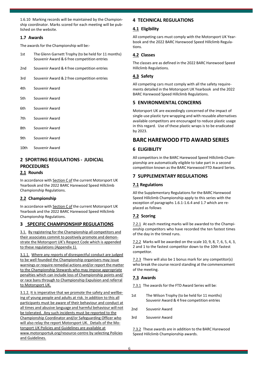1.6.10 Marking records will be maintained by the Championship coordinator. Marks scored for each meeting will be published on the website.

#### **1.7 Awards**

The awards for the Championship will be:-

- 1st The Glenn Garnett Trophy (to be held for 11 months) Souvenir Award & 6 free competition entries
- 2nd Souvenir Award & 4 free competition entries
- 3rd Souvenir Award & 2 free competition entries
- 4th Souvenir Award
- 5th Souvenir Award
- 6th Souvenir Award
- 7th Souvenir Award
- 8th Souvenir Award
- 9th Souvenir Award
- 10th Souvenir Award

# **2 SPORTING REGULATIONS - JUDICIAL PROCEDURES**

#### **2.1 Rounds**

In accordance with Section C of the current Motorsport UK Yearbook and the 2022 BARC Harewood Speed Hillclimb Championship Regulations.

#### **2.2 Championship**

In accordance with **Section C of** the current Motorsport UK Yearbook and the 2022 BARC Harewood Speed Hillclimb Championship Regulations.

#### **3 SPECIFIC CHAMPIONSHIP REGULATIONS**

3.1. By registering for the Championship all competitors and their associates commit to positively promote and demonstrate the Motorsport UK's Respect Code which is appended to these regulations (Appendix 1).

3.1.1. Where any reports of disrespectful conduct are judged to be well founded the Championship organisers may issue warnings or require remedial actions and/or report the matter to the Championship Stewards who may impose appropriate penalties which can include loss of Championship points and/ or race bans through to Championship Expulsion and referral to Motorsport UK.

3.1.2. It is imperative that we promote the safety and wellbeing of young people and adults at risk. In addition to this all participants must be aware of their behaviour and conduct at all times and abusive language and harmful behaviour will not be tolerated. Any such incidents must be reported to the Championship Coordinator and/or Safeguarding Officer who will also relay the report Motorsport UK. Details of the Motorsport UK Policies and Guidelines are available at [www.motorsportuk.org/resource-centre b](http://www.motorsportuk.org/resource-centre)y selecting Policies and Guidelines.

#### **4 TECHNICAL REGULATIONS**

#### **4.1 Eligibility**

All competing cars must comply with the Motorsport UK Yearbook and the 2022 BARC Harewood Speed Hillclimb Regulations.

#### **4.2 Classes**

The classes are as defined in the 2022 BARC Harewood Speed Hillclimb Regulations.

#### **4.3 Safety**

All competing cars must comply with all the safety requirements detailed in the Motorsport UK Yearbook and the 2022 BARC Harewood Speed Hillclimb Regulations.

#### **5 ENVIRONMENTAL CONCERNS**

Motorsport UK are exceedingly concerned of the impact of single-use plastic tyre wrapping and with reusable alternatives available competitors are encouraged to reduce plastic usage in this regard. Use of these plastic wraps is to be eradicated by 2023.

#### **BARC HAREWOOD FTD AWARD SERIES**

#### **6 ELIGIBILITY**

All competitors in the BARC Harewood Speed Hillclimb Championship are automatically eligible to take part in a second competition known as the BARC Harewood FTD Award Series.

#### **7 SUPPLEMENTARY REGULATIONS**

#### **7.1 Regulations**

All the Supplementary Regulations for the BARC Harewood Speed Hillclimb Championship apply to this series with the exception of paragraphs 1.6.1-1.6.4 and 1.7 which are replaced as follows

#### **7.2 Scoring**

7.2.1 At each meeting marks will be awarded to the Championship competitors who have recorded the ten fastest times of the day in the timed runs.

7.2.2 Marks will be awarded on the scale 10, 9, 8, 7, 6, 5, 4, 3, 2 and 1 to the fastest competitor down to the 10th fastest competitor.

7.2.3 There will also be 1 bonus mark for any competitor(s) who break the course record standing at the commencement of the meeting.

#### **7.3 Awards**

7.3.1 The awards for the FTD Award Series will be:

- 1st The Wilson Trophy (to be held for 11 months) Souvenir Award & 4 free competition entries
- 2nd Souvenir Award
- 3rd Souvenir Award

7.3.2 These awards are in addition to the BARC Harewood Speed Hillclimb Championship awards.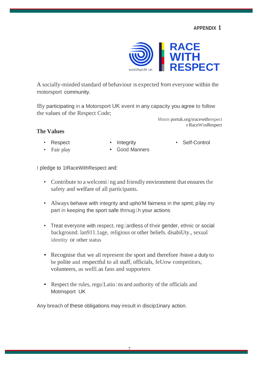**APPENDIX 1**



A socially-minded standard of behaviour is expected from everyone within the motorsport community.

IBy participating in a Motorsport UK event in any capacity you agree to follow the values of the Respect Code;

> Motors portuk.org/rracewithrespect *tt* RaceWitnRespect

# **The Values**

- Respect
- Integrity

• Self-Control

- Fair play
- Good Manners

I pledge to 1tRaceWithRespect and:

- Contribute to a welcomiling and friendly environment that ensures the safety and welfare of all participants.
- Always behave with integrity and upho'M fairness in the spmt; pllay my part in keeping the sport safe thrnug1h your actions
- Treat everyone with respect, reg1ardless of tiheir gender, ethnic or social background. lan911.1age, religious or other beliefs. disabiUty., sexual identity or other status
- Recognise that we all represent the sport and therefore lhiave a duty to be polite and respectful to all staff, officials, feUow competitors, volunteers, as wellLas fans and supporters
- Respect the rules, regulLatio lns and authority of the officials and Motmsport UK

Any breach of these obligations may iresult in discip1inary action.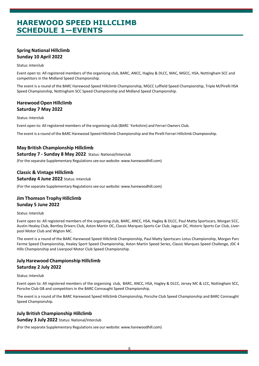# **HAREWOOD SPEED HILLCLIMB SCHEDULE 1—EVENTS**

#### **Spring National Hillclimb Sunday 10 April 2022**

#### Status: Interclub

Event open to: All registered members of the organising club, BARC, ANCC, Hagley & DLCC, MAC, MGCC, HSA, Nottingham SCC and competitors in the Midland Speed Championship.

The event is a round of the BARC Harewood Speed Hillclimb Championship, MGCC Luffield Speed Championship, Triple M/Pirelli HSA Speed Championship, Nottingham SCC Speed Championship and Midland Speed Championship.

#### **HarewoodOpen Hillclimb Saturday 7 May 2022**

#### Status: Interclub

Event open to: All registered members of the organising club (BARC Yorkshire) and Ferrari Owners Club.

The event is a round of the BARC Harewood Speed Hillclimb Championship and the Pirelli Ferrari Hillclimb Championship.

#### **May British Championship Hillclimb**

#### **Saturday 7 - Sunday 8 May 2022** Status: National/Interclub

(For the separate Supplementary Regulations see our website: www.harewoodhill.com)

#### **Classic & Vintage Hillclimb**

#### **Saturday 4 June 2022** Status: Interclub

(For the separate Supplementary Regulations see our website: www.harewoodhill.com)

#### **Jim Thomson Trophy Hillclimb Sunday 5 June 2022**

#### Status: Interclub

Event open to: All registered members of the organising club, BARC, ANCC, HSA, Hagley & DLCC, Paul Matty Sportscars, Morgan SCC, Austin Healey Club, Bentley Drivers Club, Aston Martin OC, Classic Marques Sports Car Club, Jaguar DC, Historic Sports Car Club, Liverpool Motor Club and Wigton MC.

The event is a round of the BARC Harewood Speed Hillclimb Championship, Paul Matty Sportscars Lotus Championship, Morgan Parc Ferme Speed Championship, Healey Sport Speed Championship, Aston Martin Speed Series, Classic Marques Speed Challenge, JDC 4 Hills Championship and Liverpool Motor Club Speed Championship.

#### **July Harewood Championship Hillclimb Saturday 2 July 2022**

#### Status: Interclub

Event open to: All registered members of the organising club, BARC, ANCC, HSA, Hagley & DLCC, Jersey MC & LCC, Nottingham SCC, Porsche Club GB and competitors in the BARC Connaught Speed Championship.

The event is a round of the BARC Harewood Speed Hillclimb Championship, Porsche Club Speed Championship and BARC Connaught Speed Championship.

#### **July British Championship Hillclimb**

#### **Sunday 3 July 2022** Status: National/Interclub

(For the separate Supplementary Regulations see our website: www.harewoodhill.com)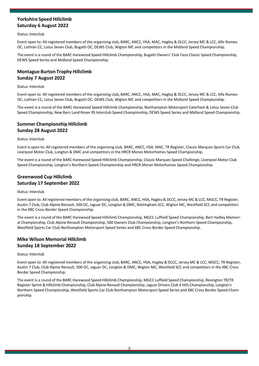## **Yorkshire Speed Hillclimb Saturday 6 August 2022**

#### Status: Interclub

Event open to: All registered members of the organising club, BARC, ANCC, HSA, MAC, Hagley & DLCC, Jersey MC & LCC, Alfa Romeo OC, Lothian CC, Lotus Seven Club, Bugatti OC, DEWS Club, Wigton MC and competitors in the Midland Speed Championship.

The event is a round of the BARC Harewood Speed Hillclimb Championship, Bugatti Owners' Club Fassi Classic Speed Championship, DEWS Speed Series and Midland Speed Championship.

## **Montague Burton Trophy Hillclimb Sunday 7 August 2022**

#### Status: Interclub

Event open to: All registered members of the organising club, BARC, ANCC, HSA, MAC, Hagley & DLCC, Jersey MC & LCC, Alfa Romeo OC, Lothian CC, Lotus Seven Club, Bugatti OC, DEWS Club, Wigton MC and competitors in the Midland Speed Championship.

The event is a round of the BARC Harewood Speed Hillclimb Championship, Northampton Motorsport Caterham & Lotus Seven Club Speed Championship, New Barn Land Rover RS Interclub Speed Championship, DEWS Speed Series and Midland Speed Championship.

#### **Summer Championship Hillclimb Sunday 28 August 2022**

#### Status: Interclub

Event is open to: All registered members of the organising club, BARC, ANCC, HSA, MAC, TR Register, Classic Marques Sports Car Club, Liverpool Motor Club, Longton & DMC and competitors in the HRCR Moran Motorhomes Speed Championship.

The event is a round of the BARC Harewood Speed Hillclimb Championship, Classic Marques Speed Challenge, Liverpool Motor Club Speed Championship, Longton's Northern Speed Championship and HRCR Moran Motorhomes Speed Championship.

#### **Greenwood Cup Hillclimb Saturday 17 September 2022**

#### Status: Interclub

Event open to: All registered members of the organising club, BARC, ANCC, HSA, Hagley & DLCC, Jersey MC & LCC, MGCC, TR Register, Austin 7 Club, Club Alpine Renault, 500 OC, Jaguar DC, Longton & DMC, Nottingham SCC, Wigton MC, Westfield SCC and competitors in the XBC Cross Border Speed Championship.

The event is a round of the BARC Harewood Speed Hillclimb Championship, MGCC Luffield Speed Championship, Bert Hadley Memorial Championship, Club Alpine Renault Championship, 500 Owners Club Championship, Longton's Northern Speed Championship, Westfield Sports Car Club Northampton Motorsport Speed Series and XBC Cross Border Speed Championship.

#### **Mike Wilson Memorial Hillclimb Sunday 18 September 2022**

#### Status: Interclub

Event open to: All registered members of the organising club, BARC, ANCC, HSA, Hagley & DLCC, Jersey MC & LCC, MGCC, TR Register, Austin 7 Club, Club Alpine Renault, 500 OC, Jaguar DC, Longton & DMC, Wigton MC, Westfield SCC and competitors in the XBC Cross Border Speed Championship.

The event is a round of the BARC Harewood Speed Hillclimb Championship, MGCC Luffield Speed Championship, Revington TR/TR Register Sprint & Hillclimb Championship, Club Alpine Renault Championship, Jaguar Drivers Club 4 Hills Championship, Longton's Northern Speed Championship, Westfield Sports Car Club Northampton Motorsport Speed Series and XBC Cross Border Speed Championship.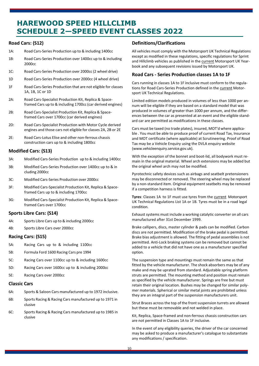# **HAREWOOD SPEED HILLCLIMB SCHEDULE 2—SPEED EVENT CLASSES 2022**

#### **Road Cars: (S12)**

- 1A: Road Cars-Series Production up to & including 1400cc
- 1B: Road Cars-Series Production over 1400cc up to & including 2000cc
- 1C: Road Cars-Series Production over 2000cc (2 wheel drive)
- 1D Road Cars-Series Production over 2000cc (4 wheel drive)
- 1F Road Cars-Series Production that are not eligible for classes 1A, 1B, 1C or 1D
- 2A: Road Cars-Specialist Production Kit, Replica & Spaceframed Cars up to & including 1700cc (car derived engines)
- 2B: Road Cars-Specialist Production Kit, Replica & Spaceframed Cars over 1700cc (car derived engines)
- 2D: Road Cars-Specialist Production with Motor Cycle derived engines and those cars not eligible for classes 2A, 2B or 2E
- 2E: Road Cars-Lotus Elise and other non-ferrous chassis construction cars up to & including 1800cc

#### **Modified Cars: (S13)**

- 3A: Modified Cars-Series Production up to & including 1400cc
- 3B: Modified Cars-Series Production over 1400cc up to & in cluding 2000cc
- 3C: Modified Cars-Series Production over 2000cc
- 3F: Modified Cars-Specialist Production Kit, Replica & Spaceframed Cars up to & including 1700cc
- 3G: Modified Cars-Specialist Production Kit, Replica & Spaceframed Cars over 1700cc

#### **Sports Libre Cars: (S14)**

- 4A: Sports Libre Cars up to & including 2000cc
- 4B: Sports Libre Cars over 2000cc

#### **Racing Cars: (S15)**

- 5A: Racing Cars up to & including 1100cc
- 5B: Formula Ford 1600 Racing Cars pre 1994
- 5C: Racing Cars over 1100cc up to & including 1600cc
- 5D: Racing Cars over 1600cc up to & including 2000cc
- 5E: Racing Cars over 2000cc

#### **Classic Cars**

- 6A: Sports & Saloon Cars manufactured up to 1972 inclusive.
- 6B: Sports Racing & Racing Cars manufactured up to 1971 in clusive
- 6C: Sports Racing & Racing Cars manufactured up to 1985 in clusive

#### **Definitions/Clarifications**

All vehicles must comply with the Motorsport UK Technical Regulations except as modified in these regulations, specific regulations for Sprint and Hillclimb vehicles as published in the current Motorsport UK Yearbook and any subsequent revisions issued by Motorsport UK.

#### **Road Cars - Series Production classes 1A to 1F**

Cars running in classes 1A to 1F inclusive must conform to the regulations for Road Cars-Series Production defined in the current Motorsport UK Technical Regulations.

Limited edition models produced in volumes of less than 1000 per annum will be eligible if they are based on a standard model that was produced in volumes of greater than 1000 per annum, and the differences between the car as presented at an event and the eligible standard car are permitted as modifications in these classes.

Cars must be taxed (no trade plates), insured, MOT'd where applicable . You must be able to produce proof of current Road Tax, Insurance and MOT certificate (where applicable) at Scrutineering. Proof of Road Tax may be a Vehicle Enquiry using the DVLA enquiry website (www.vehicleenquiry.service.gov.uk).

With the exception of the bonnet and boot-lid, all bodywork must remain in the original material. Wheel arch extensions may be added but the original wheel arch may not be modified.

Pyrotechnic safety devices such as airbags and seatbelt pretensioners may be disconnected or removed. The steering wheel may be replaced by a non-standard item. Original equipment seatbelts may be removed if a competition harness is fitted.

**Tyres**: Classes 1A to 1F must use tyres from the current Motorsport UK Technical Regulations List 1A or 1B. Tyres must be in a road legal condition.

Exhaust systems must include a working catalytic converter on all cars manufactured after 31st December 1999.

Brake callipers, discs, master cylinder & pads can be modified. Carbon discs are not permitted. Modification of the brake pedal is permitted. Brake bias adjustment is allowed. The fitting of pedal assemblies is not permitted. Anti-Lock braking systems can be removed but cannot be added to a vehicle that did not have one as a manufacturer specified option.

The suspension type and mountings must remain the same as that fitted by the vehicle manufacturer. The shock absorbers may be of any make and may be uprated from standard. Adjustable spring platform struts are permitted. The mounting method and position must remain as specified by the vehicle manufacturer. Springs are free but must retain their original location. Bushes may be changed for similar polymer materials. Spherical or similar metal joints are prohibited unless they are an integral part of the suspension manufacturers unit.

Strut Braces across the top of the front suspension turrets are allowed but these must be removable and not welded in place.

Kit, Replica, Space-framed and non-ferrous chassis construction cars are not permitted in Classes 1A to 1F inclusive.

In the event of any eligibility queries, the driver of the car concerned may be asked to produce a manufacturer's catalogue to substantiate any modifications / specification.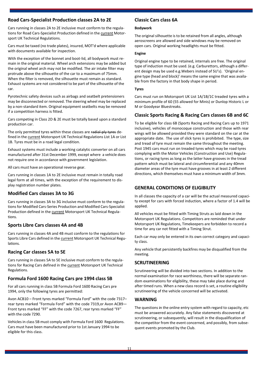#### **Road Cars-Specialist Production classes 2A to 2E**

Cars running in classes 2A to 2E inclusive must conform to the regulations for Road Cars-Specialist Production defined in the current Motorsport UK Technical Regulations.

Cars must be taxed (no trade plates), insured, MOT'd where applicable with documents available for inspection.

With the exception of the bonnet and boot-lid, all bodywork must remain in the original material. Wheel arch extensions may be added but the original wheel arch may not be modified. The air intake filter may protrude above the silhouette of the car to a maximum of 75mm. When the filter is removed, the silhouette must remain as standard. Exhaust systems are not considered to be part of the silhouette of the car.

Pyrotechnic safety devices such as airbags and seatbelt pretensioners may be disconnected or removed. The steering wheel may be replaced by a non-standard item. Original equipment seatbelts may be removed if a competition harness is fitted.

Cars competing in Class 2D & 2E must be totally based upon a standard production car.

The only permitted tyres within these classes are radial-ply tyres defined in the current Motorsport UK Technical Regulations List 1A or List 1B. Tyres must be in a road legal condition.

Exhaust systems must include a working catalytic converter on all cars manufactured after 31st December 1999, except where a vehicle does not require one in accordance with government legislation.

All cars must have an operational reverse gear.

Cars running in classes 1A to 2E inclusive must remain in totally road legal form at all times, with the exception of the requirement to display registration number plates.

#### **Modified Cars classes 3A to 3G**

Cars running in classes 3A to 3G inclusive must conform to the regulations for Modified Cars-Series Production and Modified Cars-Specialist Production defined in the current Motorsport UK Technical Regulations.

#### **Sports Libre Cars classes 4A and 4B**

Cars running in classes 4A and 4B must conform to the regulations for Sports Libre Cars defined in the current Motorsport UK Technical Regulations.

#### **Racing Car classes 5A to 5E**

Cars running in classes 5A to 5E inclusive must conform to the regulations for Racing Cars defined in the current Motorsport UK Technical Regulations.

#### **Formula Ford 1600 Racing Cars pre 1994 class 5B**

For all cars running in class 5B Formula Ford 1600 Racing Cars pre 1994, only the following tyres are permitted:

Avon ACB10 – Front tyres marked "Formula Ford" with the code 7317– rear tyres marked "Formula Ford" with the code 7319,or Avon ACB9— Front tyres marked "FF" with the code 7267, rear tyres marked "FF" with the code 7290.

Vehicles in class 5B must comply with Formula Ford 1600 Regulations. Cars must have been manufactured prior to 1st January 1994 to be eligible for this class.

#### **Classic Cars class 6A**

#### **Bodywork**

The original silhouette is to be retained from all angles, although aeroscreens are allowed and side windows may be removed on open cars. Original working headlights must be fitted.

#### **Engine**

Original engine type to be retained, internals are free. The original type of induction must be used. (e.g. Carburettors, although a different design may be used e.g.Webers instead of SU's). 'Original engine type (head and block)' means the same engine that was available from the factory in that body shape in period.

#### **Tyres**

Cars must run on Motorsport UK List 1A/1B/1C treaded tyres with a minimum profile of 60 (55 allowed for Minis) or Dunlop Historic L or M or Goodyear Bluestreaks.

#### **Classic Sports Racing & Racing Cars classes 6B and 6C**

To be eligible for class 6B (Sports Racing and Racing Cars up to 1971 inclusive), vehicles of monocoque construction and those with rear wings will be allowed provided they were standard on the car at the appropriate date. The use of slick tyres is prohibited. The type, size and tread of tyre must remain the same throughout the meeting. Post 1945 cars must run on treaded tyres which may be road tyres complying with the Motor Vehicles (Construction and Use) Regulations, or racing tyres as long as the latter have grooves in the tread pattern which must be lateral and circumferential and any 40mm diameter areas of the tyre must have grooves in at least 2 different directions, which themselves must have a minimum width of 3mm.

#### **GENERAL CONDITIONS OF ELIGIBILITY**

In all classes the capacity of a car will be the actual measured capacity except for cars with forced induction, where a factor of 1.4 will be applied.

All vehicles must be fitted with Timing Struts as laid down in the Motorsport UK Regulations. Competitors are reminded that under Motorsport UK Regulations, Timekeepers are forbidden to record a time for any car not fitted with a Timing Strut.

Each car may only be entered in its own correct category and capacity class.

Any vehicle that persistently backfires may be disqualified from the meeting.

#### **SCRUTINEERING**

Scrutineering will be divided into two sections. In addition to the normal examination for race worthiness, there will be separate random examinations for eligibility, these may take place during and after timed runs. When a new class record is set, a routine eligibility scrutineering of the vehicle concerned will be activated.

#### **WARNING**

The questions in the online entry system with regard to capacity, etc must be answered accurately. Any false statements discovered at scrutineering, or subsequently, will result in the disqualification of the competitor from the event concerned, and possibly, from subsequent events promoted by the Club.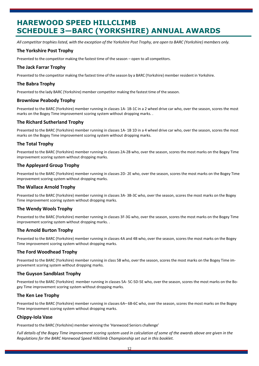# **HAREWOOD SPEED HILLCLIMB SCHEDULE 3—BARC (YORKSHIRE) ANNUAL AWARDS**

All competitor trophies listed, with the exception of the Yorkshire Post Trophy, are open to BARC (Yorkshire) members only.

#### **The Yorkshire Post Trophy**

Presented to the competitor making the fastest time of the season – open to all competitors.

#### **The Jack Farrar Trophy**

Presented to the competitor making the fastest time of the season by a BARC (Yorkshire) member resident in Yorkshire.

#### **The Babra Trophy**

Presented to the lady BARC (Yorkshire) member competitor making the fastest time of the season.

#### **Brownlow Peabody Trophy**

Presented to the BARC (Yorkshire) member running in classes 1A- 1B-1C in a 2 wheel drive car who, over the season, scores the most marks on the Bogey Time improvement scoring system without dropping marks. .

#### **The Richard Sutherland Trophy**

Presented to the BARC (Yorkshire) member running in classes 1A- 1B 1D in a 4 wheel drive car who, over the season, scores the most marks on the Bogey Time improvement scoring system without dropping marks.

#### **The Total Trophy**

Presented to the BARC (Yorkshire) member running in classes 2A-2B who, over the season, scores the most marks on the Bogey Time improvement scoring system without dropping marks.

#### **The Appleyard Group Trophy**

Presented to the BARC (Yorkshire) member running in classes 2D- 2E who, over the season, scores the most marks on the Bogey Time improvement scoring system without dropping marks.

#### **The Wallace Arnold Trophy**

Presented to the BARC (Yorkshire) member running in classes 3A- 3B-3C who, over the season, scores the most marks on the Bogey Time improvement scoring system without dropping marks.

#### **The Wendy Wools Trophy**

Presented to the BARC (Yorkshire) member running in classes 3F-3G who, over the season, scores the most marks on the Bogey Time improvement scoring system without dropping marks. .

#### **The Arnold Burton Trophy**

Presented to the BARC (Yorkshire) member running in classes 4A and 4B who, over the season, scores the most marks on the Bogey Time improvement scoring system without dropping marks.

#### **The Ford Woodhead Trophy**

Presented to the BARC (Yorkshire) member running in class 5B who, over the season, scores the most marks on the Bogey Time improvement scoring system without dropping marks.

#### **The Guyson Sandblast Trophy**

Presented to the BARC (Yorkshire) member running in classes 5A- 5C-5D-5E who, over the season, scores the most marks on the Bogey Time improvement scoring system without dropping marks.

#### **The Ken Lee Trophy**

Presented to the BARC (Yorkshire) member running in classes 6A– 6B-6C who, over the season, scores the most marks on the Bogey Time improvement scoring system without dropping marks.

#### **Chippy-Iola Vase**

Presented to the BARC (Yorkshire) member winning the 'Harewood Seniors challenge'

Full details of the Bogey Time improvement scoring system used in calculation of some of the awards above are given in the *Regulations for the BARC Harewood Speed Hillclimb Championship set out in this booklet.*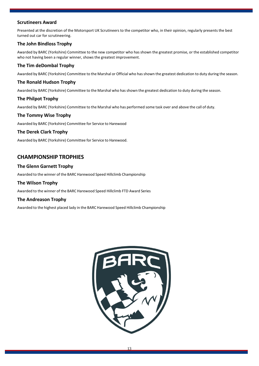#### **Scrutineers Award**

Presented at the discretion of the Motorsport UK Scrutineers to the competitor who, in their opinion, regularly presents the best turned out car for scrutineering.

#### **The John Bindloss Trophy**

Awarded by BARC (Yorkshire) Committee to the new competitor who has shown the greatest promise, or the established competitor who not having been a regular winner, shows the greatest improvement.

#### **The Tim deDombal Trophy**

Awarded by BARC (Yorkshire) Committee to the Marshal or Official who hasshown the greatest dedication to duty during the season.

#### **The Ronald Hudson Trophy**

Awarded by BARC (Yorkshire) Committee to the Marshal who hasshown the greatest dedication to duty during the season.

#### **The Philpot Trophy**

Awarded by BARC (Yorkshire) Committee to the Marshal who has performed some task over and above the call of duty.

#### **The Tommy Wise Trophy**

Awarded by BARC (Yorkshire) Committee for Service to Harewood

#### **The Derek Clark Trophy**

Awarded by BARC (Yorkshire) Committee for Service to Harewood.

#### **CHAMPIONSHIP TROPHIES**

#### **The Glenn Garnett Trophy**

Awarded to the winner of the BARC Harewood Speed Hillclimb Championship

#### **The Wilson Trophy**

Awarded to the winner of the BARC Harewood Speed Hillclimb FTD Award Series

#### **The Andreason Trophy**

Awarded to the highest placed lady in the BARC Harewood Speed Hillclimb Championship